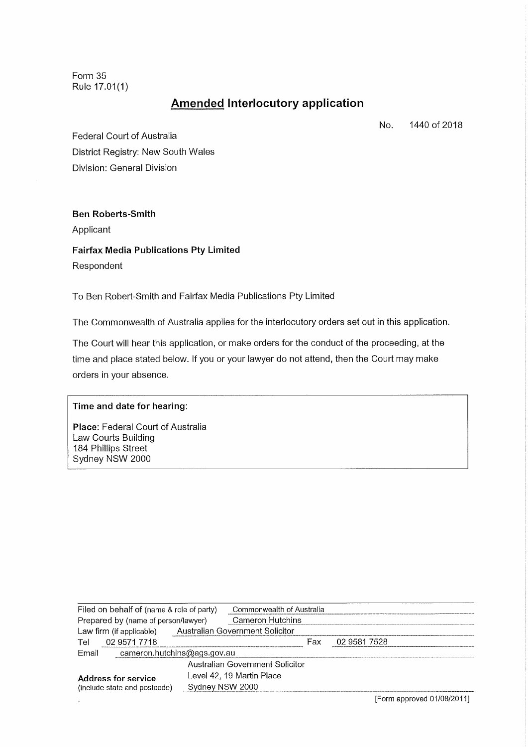Form 35 Rule 17.01(1)

# **Amended Interlocutory application**

No. 1440 of 2018

Federal Court of Australia District Registry: New South Wales Division: General Division

## **Ben Roberts−Smith**

Applicant

**Fairfax Media Publications Pty Limited** Respondent

To Ben Robert−Smith and Fairfax Media Publications Pty Limited

The Commonwealth of Australia applies for the interlocutory orders set out in this application.

The Court will hear this application, or make orders for the conduct of the proceeding, at the time and place stated below. If you or your lawyer do not attend, then the Court may make orders in your absence.

#### **Time and date for hearing:**

**Place:** Federal Court of Australia Law Courts Building 184 Phillips Street Sydney NSW 2000

| Commonwealth of Australia       |              |
|---------------------------------|--------------|
|                                 |              |
|                                 |              |
| Fax.                            | 02 9581 7528 |
|                                 |              |
| Australian Government Solicitor |              |
|                                 |              |
|                                 |              |
|                                 |              |

[Form approved 01/08/20111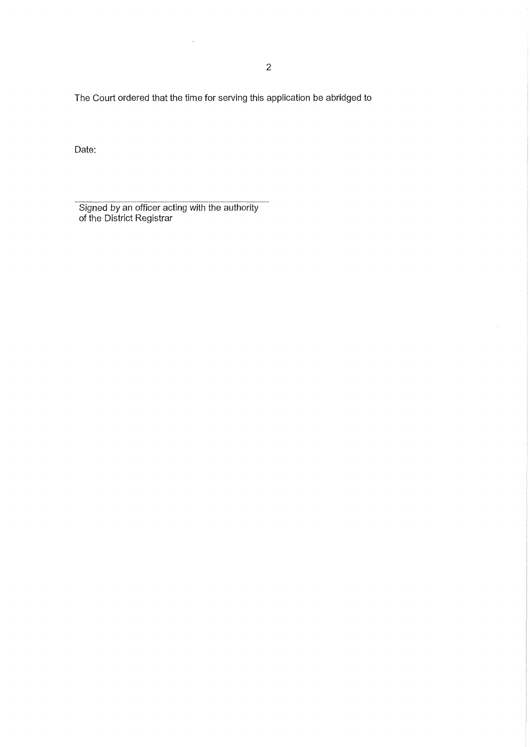The Court ordered that the time for serving this application be abridged to

 $\bar{z}$ 

Date:

Signed by an officer acting with the authority of the District Registrar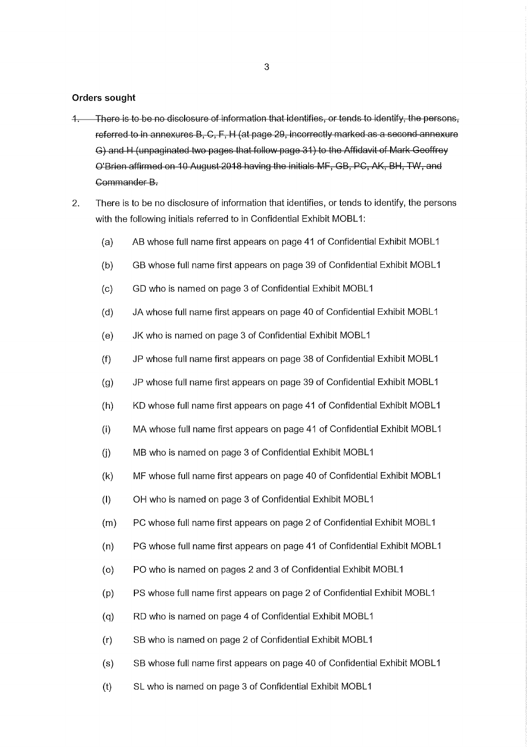#### Orders sought

- 1. There is to be no disclosure of information that identifies, or tends to identify, the persons, referred to in annexures B, C, F, H (at page 29, incorrectly marked as a second annexure G) and H (unpaginated two pages that follow page 31) to the Affidavit of Mark Geoffrey O'Brien affirmed on 10 August 2018 having the initials MF, GB, PC, AK, BH, TW, and Commander B.
- 2. There is to be no disclosure of information that identifies, or tends to identify, the persons with the following initials referred to in Confidential Exhibit MOBL1:
	- (a) AB whose full name first appears on page 41 of Confidential Exhibit MOBL1
	- (b) GB whose full name first appears on page 39 of Confidential Exhibit MOBL1
	- (c) GD who is named on page 3 of Confidential Exhibit MOBL1
	- (d) JA whose full name first appears on page 40 of Confidential Exhibit MOBL1
	- (e) JK who is named on page 3 of Confidential Exhibit MOBL1
	- (f) JP whose full name first appears on page 38 of Confidential Exhibit MOBL1
	- (g) JP whose full name first appears on page 39 of Confidential Exhibit MOBL1
	- (h) KD whose full name first appears on page 41 of Confidential Exhibit MOBL1
	- (i) MA whose full name first appears on page 41 of Confidential Exhibit MOBL1
	- (j) MB who is named on page 3 of Confidential Exhibit MOBL1
	- (k) MF whose full name first appears on page 40 of Confidential Exhibit MOBL1
	- (I) OH who is named on page 3 of Confidential Exhibit MOBL1
	- (m) PC whose full name first appears on page 2 of Confidential Exhibit MOBL1
	- (n) PG whose full name first appears on page 41 of Confidential Exhibit MOBL1
	- (o) PO who is named on pages 2 and 3 of Confidential Exhibit MOBL1
	- (p) PS whose full name first appears on page 2 of Confidential Exhibit MOBL1
	- (q) RD who is named on page 4 of Confidential Exhibit MOBL1
	- (r) SB who is named on page 2 of Confidential Exhibit MOBL1
	- (s) SB whose full name first appears on page 40 of Confidential Exhibit MOBL1
	- (t) SL who is named on page 3 of Confidential Exhibit MOBL1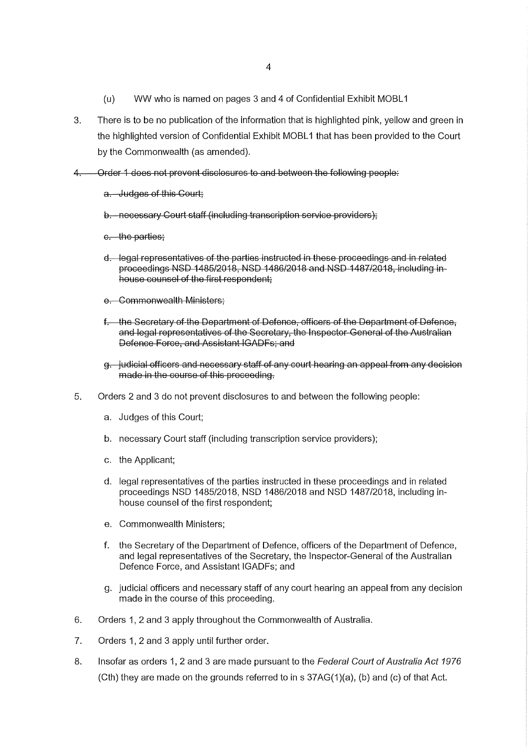- (u) WW who is named on pages 3 and 4 of Confidential Exhibit MOBL1
- 3. There is to be no publication of the information that is highlighted pink, yellow and green in the highlighted version of Confidential Exhibit MOBL1 that has been provided to the Court by the Commonwealth (as amended).
- Order 1 does not prevent disclosures to and between the following people:
	- a. Judges of this Court:
	- b. necessary Court staff (including transcription service providers);
	- c. the parties;
	- d. legal representatives of the parties instructed in these proceedings and in related proceedings NSD 1485/2018, NSD 1186/2018 and NSD 1187/2018, including in house counsel of the first respondent;
	- e. Commonwealth Ministers:
	- f. the Secretary of the Department of Defence, officers of the Department of Defence. and legal representatives of the Secretary, the Inspector General of the Australian Defence Force, and Assistant IGADFs; and
	- g. judicial officers and necessary staff of any court hearing an appeal from any decision made in the course of this proceeding.
- 5. Orders 2 and 3 do not prevent disclosures to and between the following people:
	- a. Judges of this Court;
	- b. necessary Court staff (including transcription service providers);
	- c. the Applicant;
	- d. legal representatives of the parties instructed in these proceedings and in related proceedings NSD 1485/2018, NSD 1486/2018 and NSD 1487/2018, including in− house counsel of the first respondent;
	- e. Commonwealth Ministers;
	- f. the Secretary of the Department of Defence, officers of the Department of Defence, and legal representatives of the Secretary, the Inspector−General of the Australian Defence Force, and Assistant IGADFs; and
	- g. judicial officers and necessary staff of any court hearing an appeal from any decision made in the course of this proceeding.
- 6. Orders 1, 2 and 3 apply throughout the Commonwealth of Australia.
- 7. Orders 1, 2 and 3 apply until further order.
- 8. Insofar as orders 1, 2 and 3 are made pursuant to the *Federal Court of Australia Act 1976* (Cth) they are made on the grounds referred to in s 37AG(1)(a), (b) and (c) of that Act.